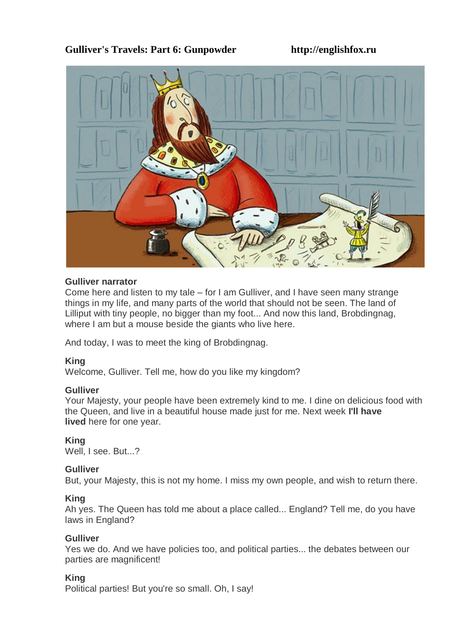# **Gulliver's Travels: Part 6: Gunpowder http://englishfox.ru**



## **Gulliver narrator**

Come here and listen to my tale – for I am Gulliver, and I have seen many strange things in my life, and many parts of the world that should not be seen. The land of Lilliput with tiny people, no bigger than my foot... And now this land, Brobdingnag, where I am but a mouse beside the giants who live here.

And today, I was to meet the king of Brobdingnag.

## **King**

Welcome, Gulliver. Tell me, how do you like my kingdom?

## **Gulliver**

Your Majesty, your people have been extremely kind to me. I dine on delicious food with the Queen, and live in a beautiful house made just for me. Next week **I'll have lived** here for one year.

# **King**

Well, I see. But...?

## **Gulliver**

But, your Majesty, this is not my home. I miss my own people, and wish to return there.

## **King**

Ah yes. The Queen has told me about a place called... England? Tell me, do you have laws in England?

## **Gulliver**

Yes we do. And we have policies too, and political parties... the debates between our parties are magnificent!

## **King**

Political parties! But you're so small. Oh, I say!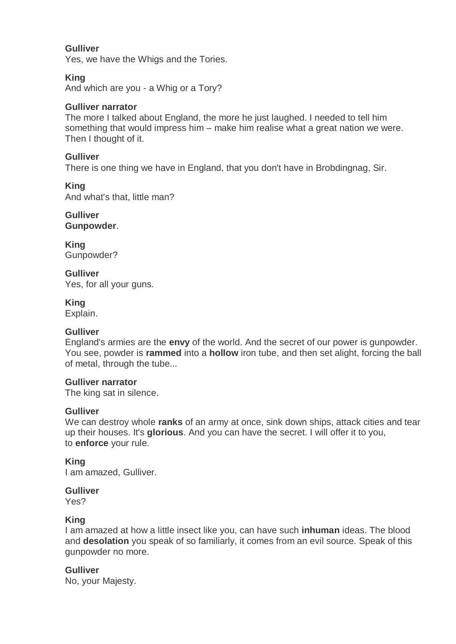## **Gulliver**

Yes, we have the Whigs and the Tories.

## **King**

And which are you - a Whig or a Tory?

## **Gulliver narrator**

The more I talked about England, the more he just laughed. I needed to tell him something that would impress him – make him realise what a great nation we were. Then I thought of it.

## **Gulliver**

There is one thing we have in England, that you don't have in Brobdingnag, Sir.

## **King**

And what's that, little man?

**Gulliver Gunpowder**.

**King** Gunpowder?

**Gulliver** Yes, for all your guns.

## **King**

Explain.

## **Gulliver**

England's armies are the **envy** of the world. And the secret of our power is gunpowder. You see, powder is **rammed** into a **hollow** iron tube, and then set alight, forcing the ball of metal, through the tube...

## **Gulliver narrator**

The king sat in silence.

## **Gulliver**

We can destroy whole **ranks** of an army at once, sink down ships, attack cities and tear up their houses. It's **glorious**. And you can have the secret. I will offer it to you, to **enforce** your rule.

**King**

I am amazed, Gulliver.

## **Gulliver**

Yes?

## **King**

I am amazed at how a little insect like you, can have such **inhuman** ideas. The blood and **desolation** you speak of so familiarly, it comes from an evil source. Speak of this gunpowder no more.

## **Gulliver**

No, your Majesty.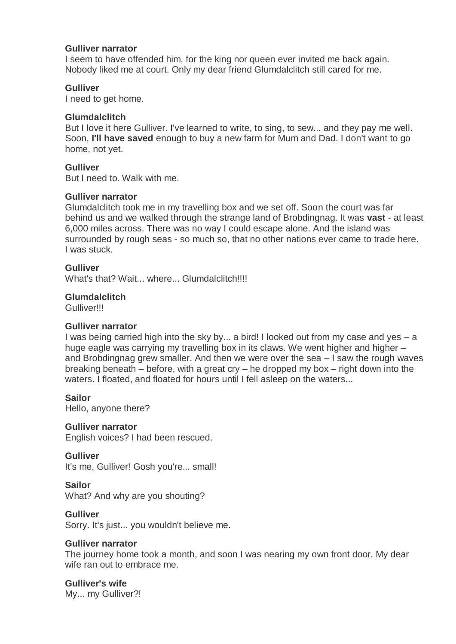### **Gulliver narrator**

I seem to have offended him, for the king nor queen ever invited me back again. Nobody liked me at court. Only my dear friend Glumdalclitch still cared for me.

## **Gulliver**

I need to get home.

### **Glumdalclitch**

But I love it here Gulliver. I've learned to write, to sing, to sew... and they pay me well. Soon, **I'll have saved** enough to buy a new farm for Mum and Dad. I don't want to go home, not yet.

### **Gulliver**

But I need to. Walk with me.

## **Gulliver narrator**

Glumdalclitch took me in my travelling box and we set off. Soon the court was far behind us and we walked through the strange land of Brobdingnag. It was **vast** - at least 6,000 miles across. There was no way I could escape alone. And the island was surrounded by rough seas - so much so, that no other nations ever came to trade here. I was stuck.

### **Gulliver**

What's that? Wait... where... Glumdalclitch!!!!

### **Glumdalclitch**

Gulliver!!!

#### **Gulliver narrator**

I was being carried high into the sky by... a bird! I looked out from my case and yes – a huge eagle was carrying my travelling box in its claws. We went higher and higher – and Brobdingnag grew smaller. And then we were over the sea – I saw the rough waves breaking beneath – before, with a great cry – he dropped my box – right down into the waters. I floated, and floated for hours until I fell asleep on the waters...

#### **Sailor**

Hello, anyone there?

#### **Gulliver narrator**

English voices? I had been rescued.

**Gulliver**

It's me, Gulliver! Gosh you're... small!

#### **Sailor**

What? And why are you shouting?

#### **Gulliver**

Sorry. It's just... you wouldn't believe me.

#### **Gulliver narrator**

The journey home took a month, and soon I was nearing my own front door. My dear wife ran out to embrace me.

## **Gulliver's wife**

My... my Gulliver?!